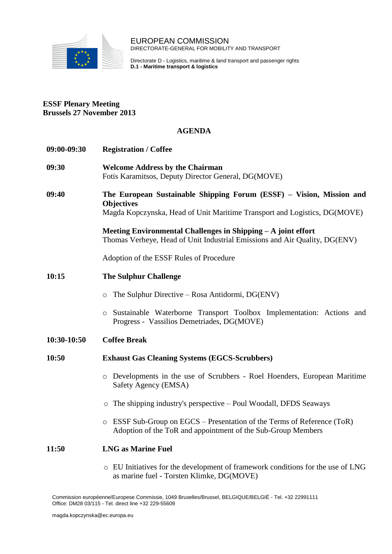

EUROPEAN COMMISSION DIRECTORATE-GENERAL FOR MOBILITY AND TRANSPORT

Directorate D - Logistics, maritime & land transport and passenger rights **D.1 - Maritime transport & logistics**

## **ESSF Plenary Meeting Brussels 27 November 2013**

## **AGENDA**

| 09:00-09:30 | <b>Registration / Coffee</b>                                                                                                                                           |
|-------------|------------------------------------------------------------------------------------------------------------------------------------------------------------------------|
| 09:30       | <b>Welcome Address by the Chairman</b><br>Fotis Karamitsos, Deputy Director General, DG(MOVE)                                                                          |
| 09:40       | The European Sustainable Shipping Forum (ESSF) – Vision, Mission and<br><b>Objectives</b><br>Magda Kopczynska, Head of Unit Maritime Transport and Logistics, DG(MOVE) |
|             | Meeting Environmental Challenges in Shipping – A joint effort<br>Thomas Verheye, Head of Unit Industrial Emissions and Air Quality, DG(ENV)                            |
|             | Adoption of the ESSF Rules of Procedure                                                                                                                                |
| 10:15       | <b>The Sulphur Challenge</b>                                                                                                                                           |
|             | The Sulphur Directive – Rosa Antidormi, DG(ENV)<br>$\circ$                                                                                                             |
|             | Sustainable Waterborne Transport Toolbox Implementation: Actions and<br>$\circ$<br>Progress - Vassilios Demetriades, DG(MOVE)                                          |
| 10:30-10:50 | <b>Coffee Break</b>                                                                                                                                                    |
| 10:50       | <b>Exhaust Gas Cleaning Systems (EGCS-Scrubbers)</b>                                                                                                                   |
|             | o Developments in the use of Scrubbers - Roel Hoenders, European Maritime<br>Safety Agency (EMSA)                                                                      |
|             | $\circ$ The shipping industry's perspective – Poul Woodall, DFDS Seaways                                                                                               |
|             | $\circ$ ESSF Sub-Group on EGCS – Presentation of the Terms of Reference (ToR)<br>Adoption of the ToR and appointment of the Sub-Group Members                          |
| 11:50       | <b>LNG as Marine Fuel</b>                                                                                                                                              |
|             | o EU Initiatives for the development of framework conditions for the use of LNG<br>as marine fuel - Torsten Klimke, DG(MOVE)                                           |

Commission européenne/Europese Commissie, 1049 Bruxelles/Brussel, BELGIQUE/BELGIË - Tel. +32 22991111 Office: DM28 03/115 - Tel. direct line +32 229-55609